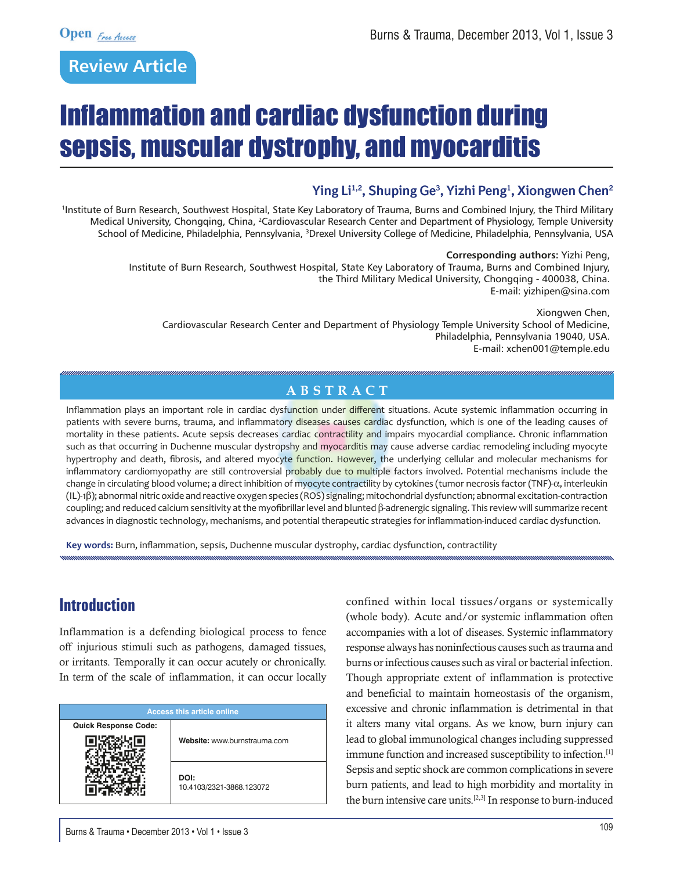# **Review Article**

# Inflammation and cardiac dysfunction during sepsis, muscular dystrophy, and myocarditis

### **Ying Li1,2, Shuping Ge3 , Yizhi Peng1 , Xiongwen Chen2**

1 Institute of Burn Research, Southwest Hospital, State Key Laboratory of Trauma, Burns and Combined Injury, the Third Military Medical University, Chongqing, China, <sup>2</sup>Cardiovascular Research Center and Department of Physiology, Temple University School of Medicine, Philadelphia, Pennsylvania, <sup>3</sup>Drexel University College of Medicine, Philadelphia, Pennsylvania, USA

#### **Corresponding authors:** Yizhi Peng,

Institute of Burn Research, Southwest Hospital, State Key Laboratory of Trauma, Burns and Combined Injury, the Third Military Medical University, Chongqing - 400038, China. E-mail: yizhipen@sina.com

Xiongwen Chen, Cardiovascular Research Center and Department of Physiology Temple University School of Medicine, Philadelphia, Pennsylvania 19040, USA. E-mail: xchen001@temple.edu

#### **Abstr a c t**

Inflammation plays an important role in cardiac dysfunction under different situations. Acute systemic inflammation occurring in patients with severe burns, trauma, and inflammatory diseases causes cardiac dysfunction, which is one of the leading causes of mortality in these patients. Acute sepsis decreases cardiac contractility and impairs myocardial compliance. Chronic inflammation such as that occurring in Duchenne muscular dystropshy and myocarditis may cause adverse cardiac remodeling including myocyte hypertrophy and death, fibrosis, and altered myocyte function. However, the underlying cellular and molecular mechanisms for inflammatory cardiomyopathy are still controversial probably due to multiple factors involved. Potential mechanisms include the change in circulating blood volume; a direct inhibition of myocyte contractility by cytokines (tumor necrosis factor (TNF)- $\alpha$ , interleukin (IL)-1b); abnormal nitric oxide and reactive oxygen species (ROS) signaling; mitochondrial dysfunction; abnormal excitation-contraction coupling; and reduced calcium sensitivity at the myofibrillar level and blunted  $\beta$ -adrenergic signaling. This review will summarize recent advances in diagnostic technology, mechanisms, and potential therapeutic strategies for inflammation-induced cardiac dysfunction.

**Key words:** Burn, inflammation, sepsis, Duchenne muscular dystrophy, cardiac dysfunction, contractility

### **Introduction**

Inflammation is a defending biological process to fence off injurious stimuli such as pathogens, damaged tissues, or irritants. Temporally it can occur acutely or chronically. In term of the scale of inflammation, it can occur locally

| <b>Access this article online</b> |                                  |
|-----------------------------------|----------------------------------|
| <b>Quick Response Code:</b>       |                                  |
|                                   | Website: www.burnstrauma.com     |
|                                   | DOI:<br>10.4103/2321-3868.123072 |

confined within local tissues/organs or systemically (whole body). Acute and/or systemic inflammation often accompanies with a lot of diseases. Systemic inflammatory response always has noninfectious causes such as trauma and burns or infectious causes such as viral or bacterial infection. Though appropriate extent of inflammation is protective and beneficial to maintain homeostasis of the organism, excessive and chronic inflammation is detrimental in that it alters many vital organs. As we know, burn injury can lead to global immunological changes including suppressed immune function and increased susceptibility to infection.[1] Sepsis and septic shock are common complications in severe burn patients, and lead to high morbidity and mortality in the burn intensive care units.[2,3] In response to burn-induced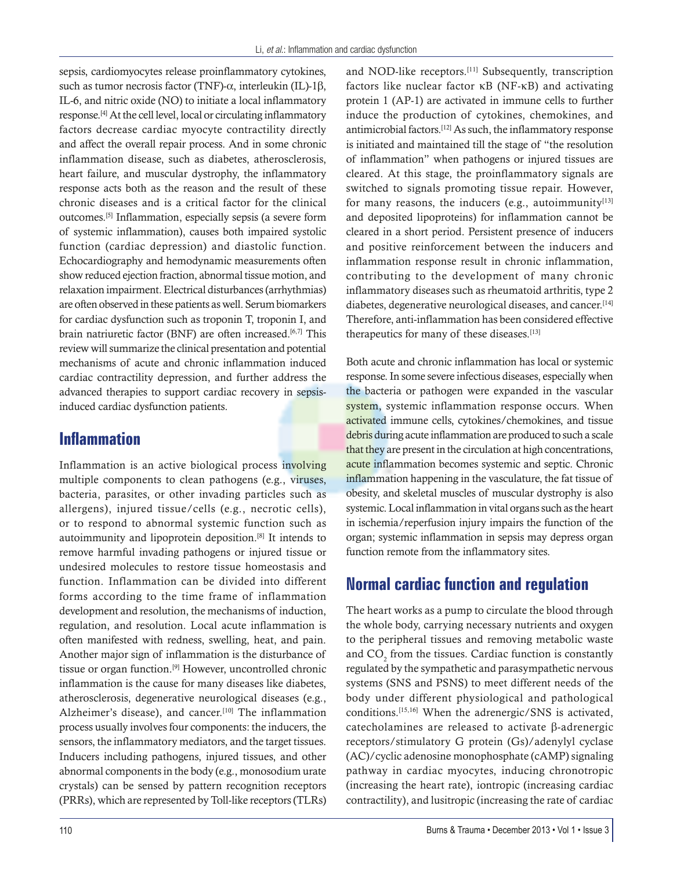sepsis, cardiomyocytes release proinflammatory cytokines, such as tumor necrosis factor (TNF)- $\alpha$ , interleukin (IL)-1 $\beta$ , IL-6, and nitric oxide (NO) to initiate a local inflammatory response.[4] At the cell level, local or circulating inflammatory factors decrease cardiac myocyte contractility directly and affect the overall repair process. And in some chronic inflammation disease, such as diabetes, atherosclerosis, heart failure, and muscular dystrophy, the inflammatory response acts both as the reason and the result of these chronic diseases and is a critical factor for the clinical outcomes.[5] Inflammation, especially sepsis (a severe form of systemic inflammation), causes both impaired systolic function (cardiac depression) and diastolic function. Echocardiography and hemodynamic measurements often show reduced ejection fraction, abnormal tissue motion, and relaxation impairment. Electrical disturbances (arrhythmias) are often observed in these patients as well. Serum biomarkers for cardiac dysfunction such as troponin T, troponin I, and brain natriuretic factor (BNF) are often increased.<sup>[6,7]</sup> This review will summarize the clinical presentation and potential mechanisms of acute and chronic inflammation induced cardiac contractility depression, and further address the advanced therapies to support cardiac recovery in sepsisinduced cardiac dysfunction patients.

### **Inflammation**

Inflammation is an active biological process involving multiple components to clean pathogens (e.g., viruses, bacteria, parasites, or other invading particles such as allergens), injured tissue/cells (e.g., necrotic cells), or to respond to abnormal systemic function such as autoimmunity and lipoprotein deposition.[8] It intends to remove harmful invading pathogens or injured tissue or undesired molecules to restore tissue homeostasis and function. Inflammation can be divided into different forms according to the time frame of inflammation development and resolution, the mechanisms of induction, regulation, and resolution. Local acute inflammation is often manifested with redness, swelling, heat, and pain. Another major sign of inflammation is the disturbance of tissue or organ function.[9] However, uncontrolled chronic inflammation is the cause for many diseases like diabetes, atherosclerosis, degenerative neurological diseases (e.g., Alzheimer's disease), and cancer.<sup>[10]</sup> The inflammation process usually involves four components: the inducers, the sensors, the inflammatory mediators, and the target tissues. Inducers including pathogens, injured tissues, and other abnormal components in the body (e.g., monosodium urate crystals) can be sensed by pattern recognition receptors (PRRs), which are represented by Toll-like receptors (TLRs) and NOD-like receptors.<sup>[11]</sup> Subsequently, transcription factors like nuclear factor kB (NF-kB) and activating protein 1 (AP-1) are activated in immune cells to further induce the production of cytokines, chemokines, and antimicrobial factors.[12] As such, the inflammatory response is initiated and maintained till the stage of "the resolution of inflammation" when pathogens or injured tissues are cleared. At this stage, the proinflammatory signals are switched to signals promoting tissue repair. However, for many reasons, the inducers (e.g., autoimmunity $[13]$ and deposited lipoproteins) for inflammation cannot be cleared in a short period. Persistent presence of inducers and positive reinforcement between the inducers and inflammation response result in chronic inflammation, contributing to the development of many chronic inflammatory diseases such as rheumatoid arthritis, type 2 diabetes, degenerative neurological diseases, and cancer.[14] Therefore, anti-inflammation has been considered effective therapeutics for many of these diseases.[13]

Both acute and chronic inflammation has local or systemic response. In some severe infectious diseases, especially when the bacteria or pathogen were expanded in the vascular system, systemic inflammation response occurs. When activated immune cells, cytokines/chemokines, and tissue debris during acute inflammation are produced to such a scale that they are present in the circulation at high concentrations, acute inflammation becomes systemic and septic. Chronic inflammation happening in the vasculature, the fat tissue of obesity, and skeletal muscles of muscular dystrophy is also systemic. Local inflammation in vital organs such as the heart in ischemia/reperfusion injury impairs the function of the organ; systemic inflammation in sepsis may depress organ function remote from the inflammatory sites.

### **Normal cardiac function and regulation**

The heart works as a pump to circulate the blood through the whole body, carrying necessary nutrients and oxygen to the peripheral tissues and removing metabolic waste and  $CO<sub>2</sub>$  from the tissues. Cardiac function is constantly regulated by the sympathetic and parasympathetic nervous systems (SNS and PSNS) to meet different needs of the body under different physiological and pathological conditions.[15,16] When the adrenergic/SNS is activated, catecholamines are released to activate β-adrenergic receptors/stimulatory G protein (Gs)/adenylyl cyclase (AC)/cyclic adenosine monophosphate (cAMP) signaling pathway in cardiac myocytes, inducing chronotropic (increasing the heart rate), iontropic (increasing cardiac contractility), and lusitropic (increasing the rate of cardiac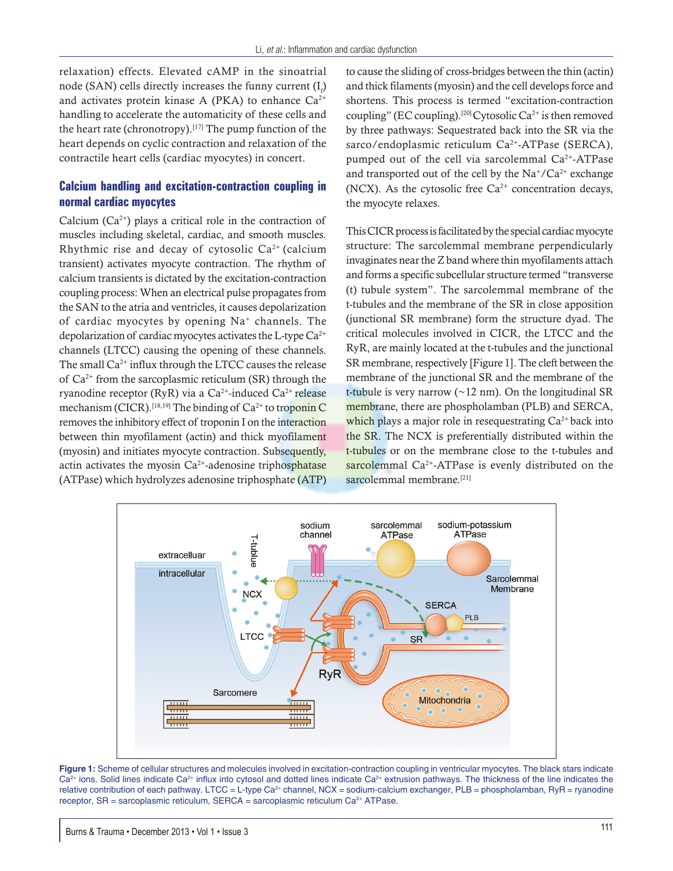relaxation) effects. Elevated cAMP in the sinoatrial node (SAN) cells directly increases the funny current  $(I_p)$ and activates protein kinase A (PKA) to enhance  $Ca^{2+}$ handling to accelerate the automaticity of these cells and the heart rate (chronotropy).<sup>[17]</sup> The pump function of the heart depends on cyclic contraction and relaxation of the contractile heart cells (cardiac myocytes) in concert.

#### **Calcium handling and excitation-contraction coupling in normal cardiac myocytes**

Calcium  $(Ca^{2+})$  plays a critical role in the contraction of muscles including skeletal, cardiac, and smooth muscles. Rhythmic rise and decay of cytosolic  $Ca<sup>2+</sup>$  (calcium transient) activates myocyte contraction. The rhythm of calcium transients is dictated by the excitation-contraction coupling process: When an electrical pulse propagates from the SAN to the atria and ventricles, it causes depolarization of cardiac myocytes by opening  $Na<sup>+</sup>$  channels. The depolarization of cardiac myocytes activates the L-type  $Ca^{2+}$ channels (LTCC) causing the opening of these channels. The small  $Ca^{2+}$  influx through the LTCC causes the release of  $Ca^{2+}$  from the sarcoplasmic reticulum (SR) through the ryanodine receptor (RyR) via a Ca<sup>2+</sup>-induced Ca<sup>2+</sup> release mechanism (CICR).<sup>[18,19]</sup> The binding of  $Ca^{2+}$  to troponin C removes the inhibitory effect of troponin I on the interaction between thin myofilament (actin) and thick myofilament (myosin) and initiates myocyte contraction. Subsequently, actin activates the myosin  $Ca^{2+}$ -adenosine triphosphatase (ATPase) which hydrolyzes adenosine triphosphate (ATP)

to cause the sliding of cross-bridges between the thin (actin) and thick filaments (myosin) and the cell develops force and shortens. This process is termed "excitation-contraction coupling" (EC coupling).<sup>[20]</sup> Cytosolic Ca<sup>2+</sup> is then removed by three pathways: Sequestrated back into the SR via the sarco/endoplasmic reticulum Ca<sup>2+</sup>-ATPase (SERCA), pumped out of the cell via sarcolemmal Ca2+-ATPase and transported out of the cell by the  $Na^{\dagger}/Ca^{\dagger}$  exchange (NCX). As the cytosolic free  $Ca^{2+}$  concentration decays, the myocyte relaxes.

This CICR process is facilitated by the special cardiac myocyte structure: The sarcolemmal membrane perpendicularly invaginates near the Z band where thin myofilaments attach and forms a specific subcellular structure termed "transverse (t) tubule system". The sarcolemmal membrane of the t-tubules and the membrane of the SR in close apposition (junctional SR membrane) form the structure dyad. The critical molecules involved in CICR, the LTCC and the RyR, are mainly located at the t-tubules and the junctional SR membrane, respectively [Figure 1]. The cleft between the membrane of the junctional SR and the membrane of the t-tubule is very narrow ( $\sim$ 12 nm). On the longitudinal SR membrane, there are phospholamban (PLB) and SERCA, which plays a major role in resequestrating  $Ca^{2+}$  back into the SR. The NCX is preferentially distributed within the t-tubules or on the membrane close to the t-tubules and sarcolemmal Ca<sup>2+</sup>-ATPase is evenly distributed on the sarcolemmal membrane.<sup>[21]</sup>



**Figure 1:** Scheme of cellular structures and molecules involved in excitation-contraction coupling in ventricular myocytes. The black stars indicate Ca<sup>2+</sup> ions. Solid lines indicate Ca<sup>2+</sup> influx into cytosol and dotted lines indicate Ca<sup>2+</sup> extrusion pathways. The thickness of the line indicates the relative contribution of each pathway. LTCC = L-type Ca<sup>2+</sup> channel, NCX = sodium-calcium exchanger, PLB = phospholamban, RyR = ryanodine receptor,  $SR =$  sarcoplasmic reticulum,  $SERCA =$  sarcoplasmic reticulum  $Ca<sup>2+</sup> ATPase$ .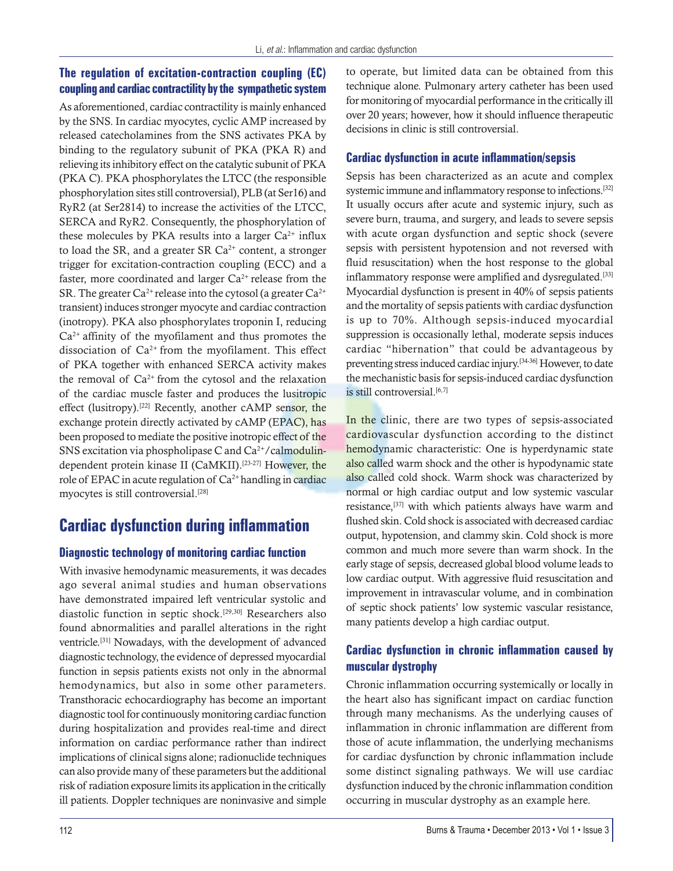#### **The regulation of excitation-contraction coupling (EC) coupling and cardiac contractility by the sympathetic system**

As aforementioned, cardiac contractility is mainly enhanced by the SNS. In cardiac myocytes, cyclic AMP increased by released catecholamines from the SNS activates PKA by binding to the regulatory subunit of PKA (PKA R) and relieving its inhibitory effect on the catalytic subunit of PKA (PKA C). PKA phosphorylates the LTCC (the responsible phosphorylation sites still controversial), PLB (at Ser16) and RyR2 (at Ser2814) to increase the activities of the LTCC, SERCA and RyR2. Consequently, the phosphorylation of these molecules by PKA results into a larger  $Ca^{2+}$  influx to load the SR, and a greater SR  $Ca^{2+}$  content, a stronger trigger for excitation-contraction coupling (ECC) and a faster, more coordinated and larger  $Ca^{2+}$  release from the SR. The greater Ca<sup>2+</sup> release into the cytosol (a greater Ca<sup>2+</sup> transient) induces stronger myocyte and cardiac contraction (inotropy). PKA also phosphorylates troponin I, reducing  $Ca<sup>2+</sup>$  affinity of the myofilament and thus promotes the dissociation of  $Ca^{2+}$  from the myofilament. This effect of PKA together with enhanced SERCA activity makes the removal of  $Ca^{2+}$  from the cytosol and the relaxation of the cardiac muscle faster and produces the lusitropic effect (lusitropy).[22] Recently, another cAMP sensor, the exchange protein directly activated by cAMP (EPAC), has been proposed to mediate the positive inotropic effect of the SNS excitation via phospholipase C and  $Ca<sup>2+</sup>/calmoduli$ ndependent protein kinase II (CaMKII).<sup>[23-27]</sup> However, the role of EPAC in acute regulation of  $Ca^{2+}$  handling in cardiac myocytes is still controversial.<sup>[28]</sup>

# **Cardiac dysfunction during inflammation**

#### **Diagnostic technology of monitoring cardiac function**

With invasive hemodynamic measurements, it was decades ago several animal studies and human observations have demonstrated impaired left ventricular systolic and diastolic function in septic shock.[29,30] Researchers also found abnormalities and parallel alterations in the right ventricle.[31] Nowadays, with the development of advanced diagnostic technology, the evidence of depressed myocardial function in sepsis patients exists not only in the abnormal hemodynamics, but also in some other parameters. Transthoracic echocardiography has become an important diagnostic tool for continuously monitoring cardiac function during hospitalization and provides real-time and direct information on cardiac performance rather than indirect implications of clinical signs alone; radionuclide techniques can also provide many of these parameters but the additional risk of radiation exposure limits its application in the critically ill patients. Doppler techniques are noninvasive and simple

to operate, but limited data can be obtained from this technique alone. Pulmonary artery catheter has been used for monitoring of myocardial performance in the critically ill over 20 years; however, how it should influence therapeutic decisions in clinic is still controversial.

#### **Cardiac dysfunction in acute inflammation/sepsis**

Sepsis has been characterized as an acute and complex systemic immune and inflammatory response to infections.<sup>[32]</sup> It usually occurs after acute and systemic injury, such as severe burn, trauma, and surgery, and leads to severe sepsis with acute organ dysfunction and septic shock (severe sepsis with persistent hypotension and not reversed with fluid resuscitation) when the host response to the global inflammatory response were amplified and dysregulated.<sup>[33]</sup> Myocardial dysfunction is present in 40% of sepsis patients and the mortality of sepsis patients with cardiac dysfunction is up to 70%. Although sepsis-induced myocardial suppression is occasionally lethal, moderate sepsis induces cardiac "hibernation" that could be advantageous by preventing stress induced cardiac injury.[34-36] However, to date the mechanistic basis for sepsis-induced cardiac dysfunction is still controversial.<sup>[6,7]</sup>

In the clinic, there are two types of sepsis-associated cardiovascular dysfunction according to the distinct hemodynamic characteristic: One is hyperdynamic state also called warm shock and the other is hypodynamic state also called cold shock. Warm shock was characterized by normal or high cardiac output and low systemic vascular resistance,[37] with which patients always have warm and flushed skin. Cold shock is associated with decreased cardiac output, hypotension, and clammy skin. Cold shock is more common and much more severe than warm shock. In the early stage of sepsis, decreased global blood volume leads to low cardiac output. With aggressive fluid resuscitation and improvement in intravascular volume, and in combination of septic shock patients' low systemic vascular resistance, many patients develop a high cardiac output.

#### **Cardiac dysfunction in chronic inflammation caused by muscular dystrophy**

Chronic inflammation occurring systemically or locally in the heart also has significant impact on cardiac function through many mechanisms. As the underlying causes of inflammation in chronic inflammation are different from those of acute inflammation, the underlying mechanisms for cardiac dysfunction by chronic inflammation include some distinct signaling pathways. We will use cardiac dysfunction induced by the chronic inflammation condition occurring in muscular dystrophy as an example here.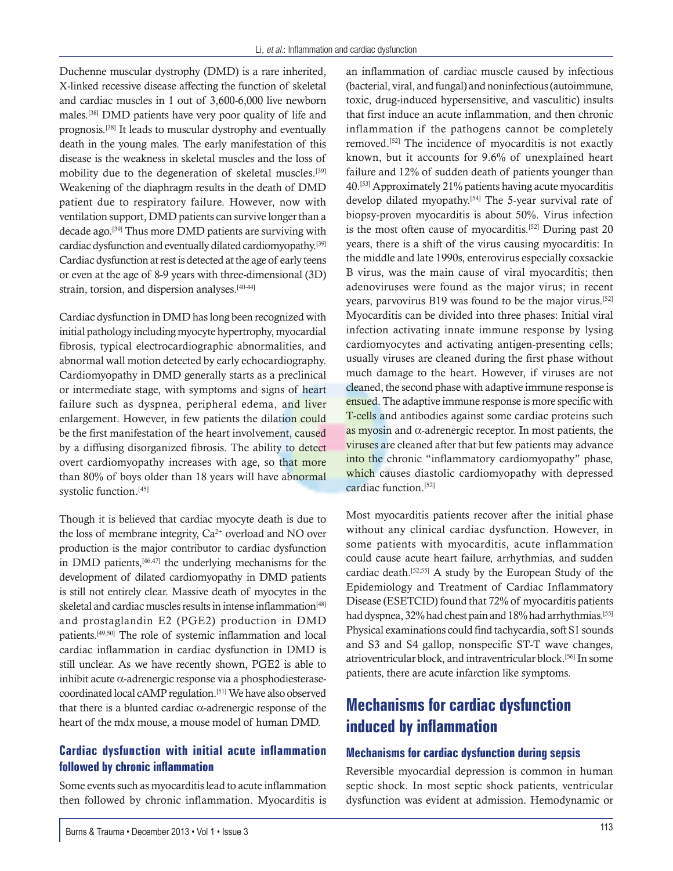Duchenne muscular dystrophy (DMD) is a rare inherited, X-linked recessive disease affecting the function of skeletal and cardiac muscles in 1 out of 3,600-6,000 live newborn males.[38] DMD patients have very poor quality of life and prognosis.[38] It leads to muscular dystrophy and eventually death in the young males. The early manifestation of this disease is the weakness in skeletal muscles and the loss of mobility due to the degeneration of skeletal muscles.[39] Weakening of the diaphragm results in the death of DMD patient due to respiratory failure. However, now with ventilation support, DMD patients can survive longer than a decade ago.[39] Thus more DMD patients are surviving with cardiac dysfunction and eventually dilated cardiomyopathy.[39] Cardiac dysfunction at rest is detected at the age of early teens or even at the age of 8-9 years with three-dimensional (3D) strain, torsion, and dispersion analyses.[40-44]

Cardiac dysfunction in DMD has long been recognized with initial pathology including myocyte hypertrophy, myocardial fibrosis, typical electrocardiographic abnormalities, and abnormal wall motion detected by early echocardiography. Cardiomyopathy in DMD generally starts as a preclinical or intermediate stage, with symptoms and signs of heart failure such as dyspnea, peripheral edema, and liver enlargement. However, in few patients the dilation could be the first manifestation of the heart involvement, caused by a diffusing disorganized fibrosis. The ability to detect overt cardiomyopathy increases with age, so that more than 80% of boys older than 18 years will have abnormal systolic function.<sup>[45]</sup>

Though it is believed that cardiac myocyte death is due to the loss of membrane integrity,  $Ca^{2+}$  overload and NO over production is the major contributor to cardiac dysfunction in DMD patients,[46,47] the underlying mechanisms for the development of dilated cardiomyopathy in DMD patients is still not entirely clear. Massive death of myocytes in the skeletal and cardiac muscles results in intense inflammation<sup>[48]</sup> and prostaglandin E2 (PGE2) production in DMD patients.[49,50] The role of systemic inflammation and local cardiac inflammation in cardiac dysfunction in DMD is still unclear. As we have recently shown, PGE2 is able to inhibit acute  $\alpha$ -adrenergic response via a phosphodiesterasecoordinated local cAMP regulation.[51] We have also observed that there is a blunted cardiac  $\alpha$ -adrenergic response of the heart of the mdx mouse, a mouse model of human DMD.

#### **Cardiac dysfunction with initial acute inflammation followed by chronic inflammation**

Some events such as myocarditis lead to acute inflammation then followed by chronic inflammation. Myocarditis is an inflammation of cardiac muscle caused by infectious (bacterial, viral, and fungal) and noninfectious (autoimmune, toxic, drug-induced hypersensitive, and vasculitic) insults that first induce an acute inflammation, and then chronic inflammation if the pathogens cannot be completely removed.[52] The incidence of myocarditis is not exactly known, but it accounts for 9.6% of unexplained heart failure and 12% of sudden death of patients younger than 40.[53] Approximately 21% patients having acute myocarditis develop dilated myopathy.[54] The 5-year survival rate of biopsy-proven myocarditis is about 50%. Virus infection is the most often cause of myocarditis.<sup>[52]</sup> During past 20 years, there is a shift of the virus causing myocarditis: In the middle and late 1990s, enterovirus especially coxsackie B virus, was the main cause of viral myocarditis; then adenoviruses were found as the major virus; in recent years, parvovirus B19 was found to be the major virus.<sup>[52]</sup> Myocarditis can be divided into three phases: Initial viral infection activating innate immune response by lysing cardiomyocytes and activating antigen-presenting cells; usually viruses are cleaned during the first phase without much damage to the heart. However, if viruses are not cleaned, the second phase with adaptive immune response is ensued. The adaptive immune response is more specific with T-cells and antibodies against some cardiac proteins such as myosin and  $\alpha$ -adrenergic receptor. In most patients, the viruses are cleaned after that but few patients may advance into the chronic "inflammatory cardiomyopathy" phase, which causes diastolic cardiomyopathy with depressed cardiac function.[52]

Most myocarditis patients recover after the initial phase without any clinical cardiac dysfunction. However, in some patients with myocarditis, acute inflammation could cause acute heart failure, arrhythmias, and sudden cardiac death.[52,55] A study by the European Study of the Epidemiology and Treatment of Cardiac Inflammatory Disease (ESETCID) found that 72% of myocarditis patients had dyspnea, 32% had chest pain and 18% had arrhythmias.<sup>[55]</sup> Physical examinations could find tachycardia, soft S1 sounds and S3 and S4 gallop, nonspecific ST-T wave changes, atrioventricular block, and intraventricular block.[56] In some patients, there are acute infarction like symptoms.

# **Mechanisms for cardiac dysfunction induced by inflammation**

#### **Mechanisms for cardiac dysfunction during sepsis**

Reversible myocardial depression is common in human septic shock. In most septic shock patients, ventricular dysfunction was evident at admission. Hemodynamic or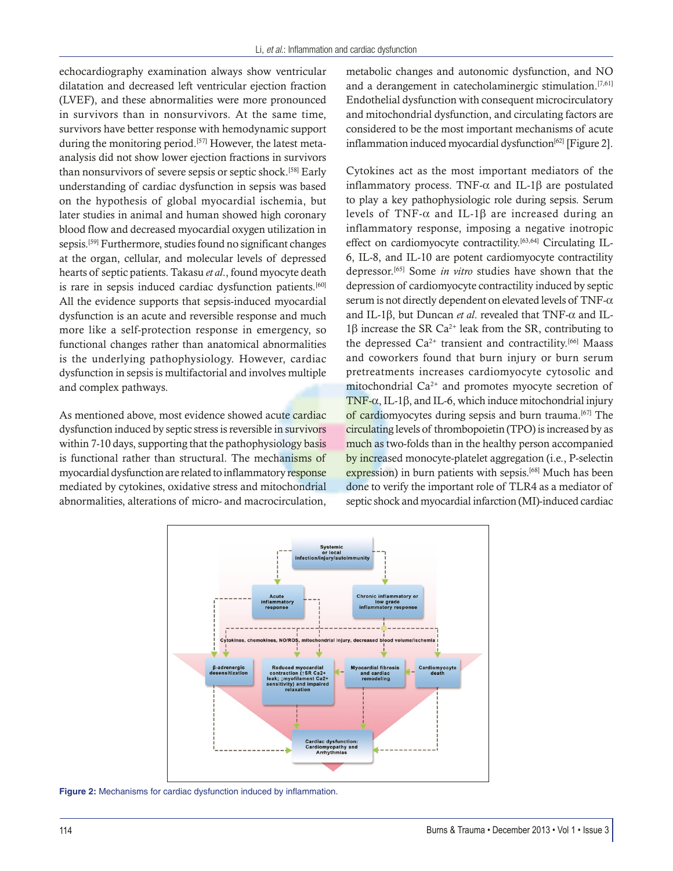echocardiography examination always show ventricular dilatation and decreased left ventricular ejection fraction (LVEF), and these abnormalities were more pronounced in survivors than in nonsurvivors. At the same time, survivors have better response with hemodynamic support during the monitoring period.<sup>[57]</sup> However, the latest metaanalysis did not show lower ejection fractions in survivors than nonsurvivors of severe sepsis or septic shock.[58] Early understanding of cardiac dysfunction in sepsis was based on the hypothesis of global myocardial ischemia, but later studies in animal and human showed high coronary blood flow and decreased myocardial oxygen utilization in sepsis.[59] Furthermore, studies found no significant changes at the organ, cellular, and molecular levels of depressed hearts of septic patients. Takasu *et al*., found myocyte death is rare in sepsis induced cardiac dysfunction patients.<sup>[60]</sup> All the evidence supports that sepsis-induced myocardial dysfunction is an acute and reversible response and much more like a self-protection response in emergency, so functional changes rather than anatomical abnormalities is the underlying pathophysiology. However, cardiac dysfunction in sepsis is multifactorial and involves multiple and complex pathways.

As mentioned above, most evidence showed acute cardiac dysfunction induced by septic stress is reversible in survivors within 7-10 days, supporting that the pathophysiology basis is functional rather than structural. The mechanisms of myocardial dysfunction are related to inflammatory response mediated by cytokines, oxidative stress and mitochondrial abnormalities, alterations of micro- and macrocirculation, metabolic changes and autonomic dysfunction, and NO and a derangement in catecholaminergic stimulation.<sup>[7,61]</sup> Endothelial dysfunction with consequent microcirculatory and mitochondrial dysfunction, and circulating factors are considered to be the most important mechanisms of acute inflammation induced myocardial dysfunction<sup>[62]</sup> [Figure 2].

Cytokines act as the most important mediators of the inflammatory process. TNF- $\alpha$  and IL-1 $\beta$  are postulated to play a key pathophysiologic role during sepsis. Serum levels of TNF- $\alpha$  and IL-1 $\beta$  are increased during an inflammatory response, imposing a negative inotropic effect on cardiomyocyte contractility.<sup>[63,64]</sup> Circulating IL-6, IL-8, and IL-10 are potent cardiomyocyte contractility depressor.[65] Some *in vitro* studies have shown that the depression of cardiomyocyte contractility induced by septic serum is not directly dependent on elevated levels of TNF- $\alpha$ and IL-1 $\beta$ , but Duncan *et al.* revealed that TNF- $\alpha$  and IL- $1\beta$  increase the SR Ca<sup>2+</sup> leak from the SR, contributing to the depressed Ca<sup>2+</sup> transient and contractility.<sup>[66]</sup> Maass and coworkers found that burn injury or burn serum pretreatments increases cardiomyocyte cytosolic and mitochondrial  $Ca^{2+}$  and promotes myocyte secretion of TNF- $\alpha$ , IL-1 $\beta$ , and IL-6, which induce mitochondrial injury of cardiomyocytes during sepsis and burn trauma.<sup>[67]</sup> The circulating levels of thrombopoietin (TPO) is increased by as much as two-folds than in the healthy person accompanied by increased monocyte-platelet aggregation (i.e., P-selectin expression) in burn patients with sepsis.<sup>[68]</sup> Much has been done to verify the important role of TLR4 as a mediator of septic shock and myocardial infarction (MI)-induced cardiac



**Figure 2:** Mechanisms for cardiac dysfunction induced by inflammation.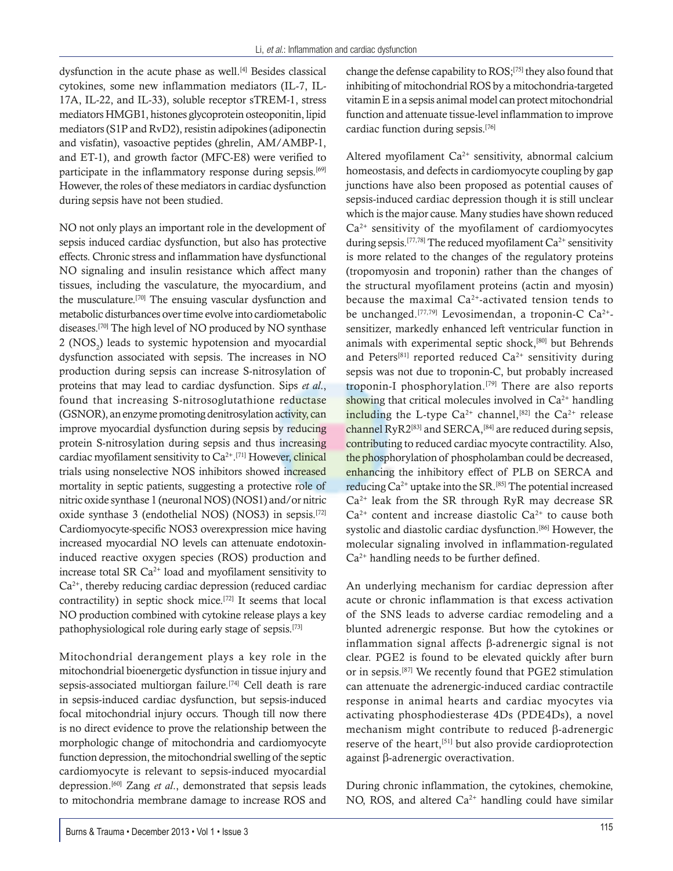dysfunction in the acute phase as well.[4] Besides classical cytokines, some new inflammation mediators (IL-7, IL-17A, IL-22, and IL-33), soluble receptor sTREM-1, stress mediators HMGB1, histones glycoprotein osteoponitin, lipid mediators (S1P and RvD2), resistin adipokines (adiponectin and visfatin), vasoactive peptides (ghrelin, AM/AMBP-1, and ET-1), and growth factor (MFC-E8) were verified to participate in the inflammatory response during sepsis.<sup>[69]</sup> However, the roles of these mediators in cardiac dysfunction during sepsis have not been studied.

NO not only plays an important role in the development of sepsis induced cardiac dysfunction, but also has protective effects. Chronic stress and inflammation have dysfunctional NO signaling and insulin resistance which affect many tissues, including the vasculature, the myocardium, and the musculature.[70] The ensuing vascular dysfunction and metabolic disturbances over time evolve into cardiometabolic diseases.[70] The high level of NO produced by NO synthase  $2$  (NOS<sub>2</sub>) leads to systemic hypotension and myocardial dysfunction associated with sepsis. The increases in NO production during sepsis can increase S-nitrosylation of proteins that may lead to cardiac dysfunction. Sips *et al*., found that increasing S-nitrosoglutathione reductase (GSNOR), an enzyme promoting denitrosylation activity, can improve myocardial dysfunction during sepsis by reducing protein S-nitrosylation during sepsis and thus increasing cardiac myofilament sensitivity to Ca<sup>2+</sup>.<sup>[71]</sup> However, clinical trials using nonselective NOS inhibitors showed increased mortality in septic patients, suggesting a protective role of nitric oxide synthase 1 (neuronal NOS)(NOS1) and/or nitric oxide synthase 3 (endothelial NOS) (NOS3) in sepsis.[72] Cardiomyocyte-specific NOS3 overexpression mice having increased myocardial NO levels can attenuate endotoxininduced reactive oxygen species (ROS) production and increase total SR  $Ca^{2+}$  load and myofilament sensitivity to  $Ca<sup>2+</sup>$ , thereby reducing cardiac depression (reduced cardiac contractility) in septic shock mice.[72] It seems that local NO production combined with cytokine release plays a key pathophysiological role during early stage of sepsis.[73]

Mitochondrial derangement plays a key role in the mitochondrial bioenergetic dysfunction in tissue injury and sepsis-associated multiorgan failure.<sup>[74]</sup> Cell death is rare in sepsis-induced cardiac dysfunction, but sepsis-induced focal mitochondrial injury occurs. Though till now there is no direct evidence to prove the relationship between the morphologic change of mitochondria and cardiomyocyte function depression, the mitochondrial swelling of the septic cardiomyocyte is relevant to sepsis-induced myocardial depression.<sup>[60]</sup> Zang *et al.*, demonstrated that sepsis leads to mitochondria membrane damage to increase ROS and change the defense capability to ROS;[75] they also found that inhibiting of mitochondrial ROS by a mitochondria-targeted vitamin E in a sepsis animal model can protect mitochondrial function and attenuate tissue-level inflammation to improve cardiac function during sepsis.[76]

Altered myofilament  $Ca^{2+}$  sensitivity, abnormal calcium homeostasis, and defects in cardiomyocyte coupling by gap junctions have also been proposed as potential causes of sepsis-induced cardiac depression though it is still unclear which is the major cause. Many studies have shown reduced  $Ca<sup>2+</sup>$  sensitivity of the myofilament of cardiomyocytes during sepsis.<sup>[77,78]</sup> The reduced myofilament  $Ca^{2+}$  sensitivity is more related to the changes of the regulatory proteins (tropomyosin and troponin) rather than the changes of the structural myofilament proteins (actin and myosin) because the maximal  $Ca^{2+}$ -activated tension tends to be unchanged.<sup>[77,79]</sup> Levosimendan, a troponin-C Ca<sup>2+</sup>sensitizer, markedly enhanced left ventricular function in animals with experimental septic shock,[80] but Behrends and Peters<sup>[81]</sup> reported reduced  $Ca^{2+}$  sensitivity during sepsis was not due to troponin-C, but probably increased troponin-I phosphorylation.[79] There are also reports showing that critical molecules involved in  $Ca<sup>2+</sup>$  handling including the L-type  $Ca^{2+}$  channel,<sup>[82]</sup> the  $Ca^{2+}$  release channel RyR2<sup>[83]</sup> and SERCA,<sup>[84]</sup> are reduced during sepsis, contributing to reduced cardiac myocyte contractility. Also, the phosphorylation of phospholamban could be decreased, enhancing the inhibitory effect of PLB on SERCA and reducing Ca2+ uptake into the SR.[85] The potential increased  $Ca<sup>2+</sup>$  leak from the SR through RyR may decrease SR  $Ca<sup>2+</sup>$  content and increase diastolic  $Ca<sup>2+</sup>$  to cause both systolic and diastolic cardiac dysfunction.<sup>[86]</sup> However, the molecular signaling involved in inflammation-regulated  $Ca<sup>2+</sup>$  handling needs to be further defined.

An underlying mechanism for cardiac depression after acute or chronic inflammation is that excess activation of the SNS leads to adverse cardiac remodeling and a blunted adrenergic response. But how the cytokines or inflammation signal affects β-adrenergic signal is not clear. PGE2 is found to be elevated quickly after burn or in sepsis.[87] We recently found that PGE2 stimulation can attenuate the adrenergic-induced cardiac contractile response in animal hearts and cardiac myocytes via activating phosphodiesterase 4Ds (PDE4Ds), a novel mechanism might contribute to reduced  $\beta$ -adrenergic reserve of the heart,<sup>[51]</sup> but also provide cardioprotection against  $\beta$ -adrenergic overactivation.

During chronic inflammation, the cytokines, chemokine, NO, ROS, and altered  $Ca^{2+}$  handling could have similar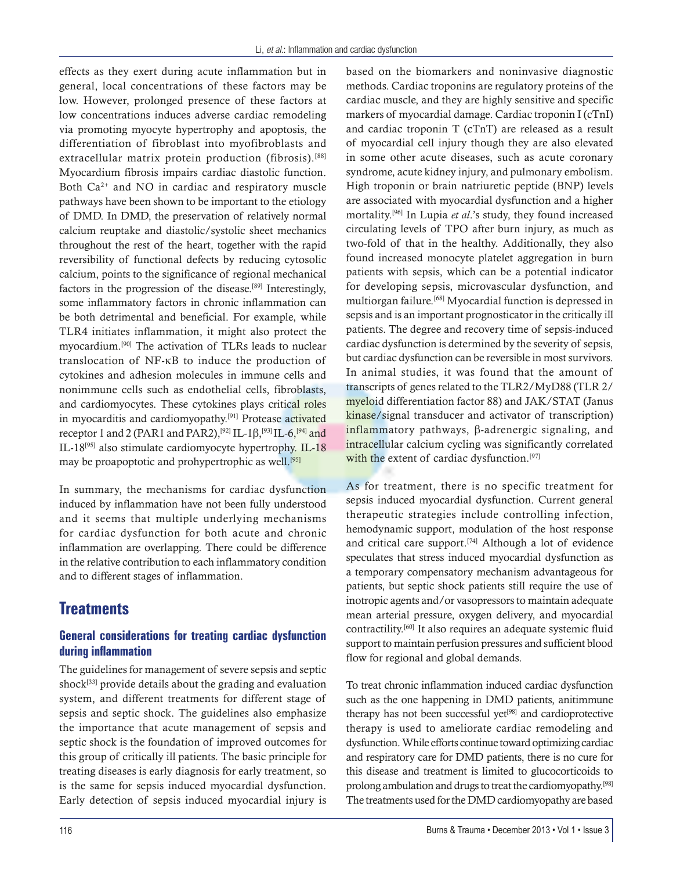effects as they exert during acute inflammation but in general, local concentrations of these factors may be low. However, prolonged presence of these factors at low concentrations induces adverse cardiac remodeling via promoting myocyte hypertrophy and apoptosis, the differentiation of fibroblast into myofibroblasts and extracellular matrix protein production (fibrosis).<sup>[88]</sup> Myocardium fibrosis impairs cardiac diastolic function. Both  $Ca^{2+}$  and NO in cardiac and respiratory muscle pathways have been shown to be important to the etiology of DMD. In DMD, the preservation of relatively normal calcium reuptake and diastolic/systolic sheet mechanics throughout the rest of the heart, together with the rapid reversibility of functional defects by reducing cytosolic calcium, points to the significance of regional mechanical factors in the progression of the disease.<sup>[89]</sup> Interestingly, some inflammatory factors in chronic inflammation can be both detrimental and beneficial. For example, while TLR4 initiates inflammation, it might also protect the myocardium.[90] The activation of TLRs leads to nuclear translocation of NF-kB to induce the production of cytokines and adhesion molecules in immune cells and nonimmune cells such as endothelial cells, fibroblasts, and cardiomyocytes. These cytokines plays critical roles in myocarditis and cardiomyopathy.[91] Protease activated receptor 1 and 2 (PAR1 and PAR2),<sup>[92]</sup> IL-1β,<sup>[93]</sup> IL-6,<sup>[94]</sup> and IL-18[95] also stimulate cardiomyocyte hypertrophy. IL-18 may be proapoptotic and prohypertrophic as well.<sup>[95]</sup>

In summary, the mechanisms for cardiac dysfunction induced by inflammation have not been fully understood and it seems that multiple underlying mechanisms for cardiac dysfunction for both acute and chronic inflammation are overlapping. There could be difference in the relative contribution to each inflammatory condition and to different stages of inflammation.

# **Treatments**

#### **General considerations for treating cardiac dysfunction during inflammation**

The guidelines for management of severe sepsis and septic shock $[33]$  provide details about the grading and evaluation system, and different treatments for different stage of sepsis and septic shock. The guidelines also emphasize the importance that acute management of sepsis and septic shock is the foundation of improved outcomes for this group of critically ill patients. The basic principle for treating diseases is early diagnosis for early treatment, so is the same for sepsis induced myocardial dysfunction. Early detection of sepsis induced myocardial injury is based on the biomarkers and noninvasive diagnostic methods. Cardiac troponins are regulatory proteins of the cardiac muscle, and they are highly sensitive and specific markers of myocardial damage. Cardiac troponin I (cTnI) and cardiac troponin T (cTnT) are released as a result of myocardial cell injury though they are also elevated in some other acute diseases, such as acute coronary syndrome, acute kidney injury, and pulmonary embolism. High troponin or brain natriuretic peptide (BNP) levels are associated with myocardial dysfunction and a higher mortality.[96] In Lupia *et al*.'s study, they found increased circulating levels of TPO after burn injury, as much as two-fold of that in the healthy. Additionally, they also found increased monocyte platelet aggregation in burn patients with sepsis, which can be a potential indicator for developing sepsis, microvascular dysfunction, and multiorgan failure.[68] Myocardial function is depressed in sepsis and is an important prognosticator in the critically ill patients. The degree and recovery time of sepsis-induced cardiac dysfunction is determined by the severity of sepsis, but cardiac dysfunction can be reversible in most survivors. In animal studies, it was found that the amount of transcripts of genes related to the TLR2/MyD88 (TLR 2/ myeloid differentiation factor 88) and JAK/STAT (Janus kinase/signal transducer and activator of transcription) inflammatory pathways,  $\beta$ -adrenergic signaling, and intracellular calcium cycling was significantly correlated with the extent of cardiac dysfunction.<sup>[97]</sup>

As for treatment, there is no specific treatment for sepsis induced myocardial dysfunction. Current general therapeutic strategies include controlling infection, hemodynamic support, modulation of the host response and critical care support.[74] Although a lot of evidence speculates that stress induced myocardial dysfunction as a temporary compensatory mechanism advantageous for patients, but septic shock patients still require the use of inotropic agents and/or vasopressors to maintain adequate mean arterial pressure, oxygen delivery, and myocardial contractility.[60] It also requires an adequate systemic fluid support to maintain perfusion pressures and sufficient blood flow for regional and global demands.

To treat chronic inflammation induced cardiac dysfunction such as the one happening in DMD patients, anitimmune therapy has not been successful yet<sup>[98]</sup> and cardioprotective therapy is used to ameliorate cardiac remodeling and dysfunction. While efforts continue toward optimizing cardiac and respiratory care for DMD patients, there is no cure for this disease and treatment is limited to glucocorticoids to prolong ambulation and drugs to treat the cardiomyopathy.[98] The treatments used for the DMD cardiomyopathy are based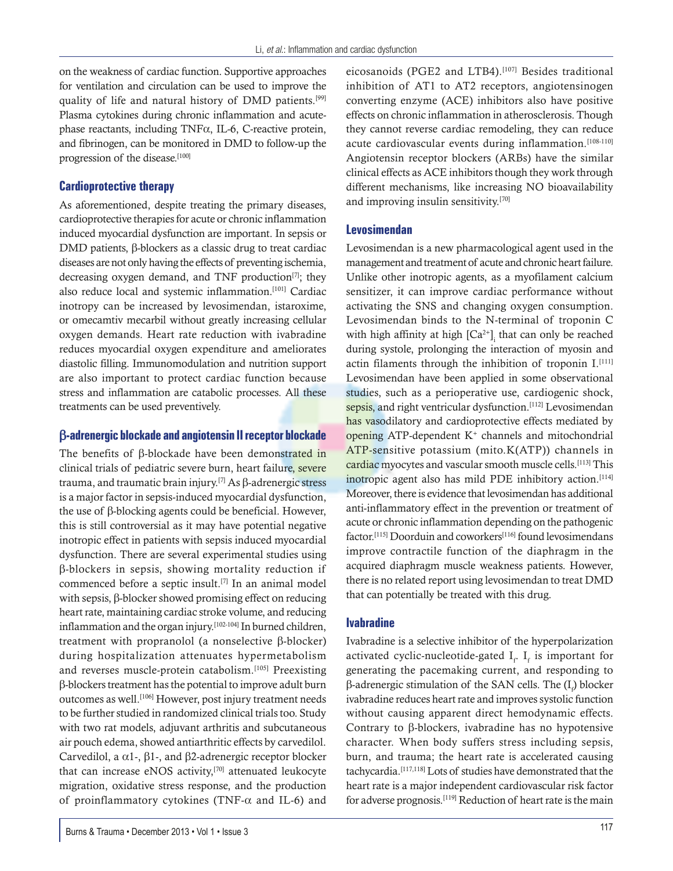on the weakness of cardiac function. Supportive approaches for ventilation and circulation can be used to improve the quality of life and natural history of DMD patients.<sup>[99]</sup> Plasma cytokines during chronic inflammation and acutephase reactants, including TNF $\alpha$ , IL-6, C-reactive protein, and fibrinogen, can be monitored in DMD to follow-up the progression of the disease.<sup>[100]</sup>

#### **Cardioprotective therapy**

As aforementioned, despite treating the primary diseases, cardioprotective therapies for acute or chronic inflammation induced myocardial dysfunction are important. In sepsis or  $DMD$  patients,  $\beta$ -blockers as a classic drug to treat cardiac diseases are not only having the effects of preventing ischemia, decreasing oxygen demand, and TNF production $[7]$ ; they also reduce local and systemic inflammation.[101] Cardiac inotropy can be increased by levosimendan, istaroxime, or omecamtiv mecarbil without greatly increasing cellular oxygen demands. Heart rate reduction with ivabradine reduces myocardial oxygen expenditure and ameliorates diastolic filling. Immunomodulation and nutrition support are also important to protect cardiac function because stress and inflammation are catabolic processes. All these treatments can be used preventively.

#### b**-adrenergic blockade and angiotensin II receptor blockade**

The benefits of  $\beta$ -blockade have been demonstrated in clinical trials of pediatric severe burn, heart failure, severe trauma, and traumatic brain injury.<sup>[7]</sup> As  $\beta$ -adrenergic stress is a major factor in sepsis-induced myocardial dysfunction, the use of  $\beta$ -blocking agents could be beneficial. However, this is still controversial as it may have potential negative inotropic effect in patients with sepsis induced myocardial dysfunction. There are several experimental studies using  $\beta$ -blockers in sepsis, showing mortality reduction if commenced before a septic insult.<sup>[7]</sup> In an animal model with sepsis,  $\beta$ -blocker showed promising effect on reducing heart rate, maintaining cardiac stroke volume, and reducing inflammation and the organ injury.[102-104] In burned children, treatment with propranolol (a nonselective  $\beta$ -blocker) during hospitalization attenuates hypermetabolism and reverses muscle-protein catabolism.[105] Preexisting b-blockers treatment has the potential to improve adult burn outcomes as well.<sup>[106]</sup> However, post injury treatment needs to be further studied in randomized clinical trials too. Study with two rat models, adjuvant arthritis and subcutaneous air pouch edema, showed antiarthritic effects by carvedilol. Carvedilol, a  $\alpha$ 1-,  $\beta$ 1-, and  $\beta$ 2-adrenergic receptor blocker that can increase eNOS activity,[70] attenuated leukocyte migration, oxidative stress response, and the production of proinflammatory cytokines (TNF- $\alpha$  and IL-6) and eicosanoids (PGE2 and LTB4).<sup>[107]</sup> Besides traditional inhibition of AT1 to AT2 receptors, angiotensinogen converting enzyme (ACE) inhibitors also have positive effects on chronic inflammation in atherosclerosis. Though they cannot reverse cardiac remodeling, they can reduce acute cardiovascular events during inflammation.<sup>[108-110]</sup> Angiotensin receptor blockers (ARBs) have the similar clinical effects as ACE inhibitors though they work through different mechanisms, like increasing NO bioavailability and improving insulin sensitivity.[70]

#### **Levosimendan**

Levosimendan is a new pharmacological agent used in the management and treatment of acute and chronic heart failure. Unlike other inotropic agents, as a myofilament calcium sensitizer, it can improve cardiac performance without activating the SNS and changing oxygen consumption. Levosimendan binds to the N-terminal of troponin C with high affinity at high  $[Ca^{2+}]$ <sub>i</sub> that can only be reached during systole, prolonging the interaction of myosin and actin filaments through the inhibition of troponin I.<sup>[111]</sup> Levosimendan have been applied in some observational studies, such as a perioperative use, cardiogenic shock, sepsis, and right ventricular dysfunction.<sup>[112]</sup> Levosimendan has vasodilatory and cardioprotective effects mediated by opening ATP-dependent  $K^+$  channels and mitochondrial ATP-sensitive potassium (mito.K(ATP)) channels in cardiac myocytes and vascular smooth muscle cells.[113] This inotropic agent also has mild PDE inhibitory action.<sup>[114]</sup> Moreover, there is evidence that levosimendan has additional anti-inflammatory effect in the prevention or treatment of acute or chronic inflammation depending on the pathogenic factor.<sup>[115]</sup> Doorduin and coworkers<sup>[116]</sup> found levosimendans improve contractile function of the diaphragm in the acquired diaphragm muscle weakness patients. However, there is no related report using levosimendan to treat DMD that can potentially be treated with this drug.

#### **Ivabradine**

Ivabradine is a selective inhibitor of the hyperpolarization activated cyclic-nucleotide-gated  $I_f$ .  $I_f$  is important for generating the pacemaking current, and responding to β-adrenergic stimulation of the SAN cells. The  $(I_{\rho})$  blocker ivabradine reduces heart rate and improves systolic function without causing apparent direct hemodynamic effects. Contrary to  $\beta$ -blockers, ivabradine has no hypotensive character. When body suffers stress including sepsis, burn, and trauma; the heart rate is accelerated causing tachycardia.[117,118] Lots of studies have demonstrated that the heart rate is a major independent cardiovascular risk factor for adverse prognosis.[119] Reduction of heart rate is the main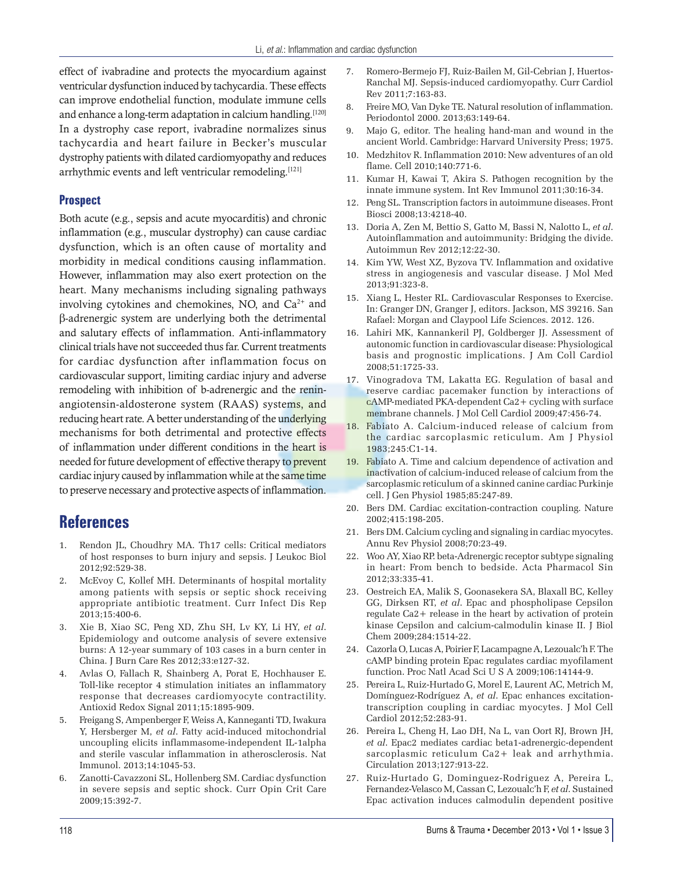effect of ivabradine and protects the myocardium against ventricular dysfunction induced by tachycardia. These effects can improve endothelial function, modulate immune cells and enhance a long-term adaptation in calcium handling.<sup>[120]</sup> In a dystrophy case report, ivabradine normalizes sinus tachycardia and heart failure in Becker's muscular dystrophy patients with dilated cardiomyopathy and reduces arrhythmic events and left ventricular remodeling.<sup>[121]</sup>

#### **Prospect**

Both acute (e.g., sepsis and acute myocarditis) and chronic inflammation (e.g., muscular dystrophy) can cause cardiac dysfunction, which is an often cause of mortality and morbidity in medical conditions causing inflammation. However, inflammation may also exert protection on the heart. Many mechanisms including signaling pathways involving cytokines and chemokines, NO, and  $Ca^{2+}$  and β-adrenergic system are underlying both the detrimental and salutary effects of inflammation. Anti-inflammatory clinical trials have not succeeded thus far. Current treatments for cardiac dysfunction after inflammation focus on cardiovascular support, limiting cardiac injury and adverse remodeling with inhibition of b-adrenergic and the reninangiotensin-aldosterone system (RAAS) systems, and reducing heart rate. A better understanding of the underlying mechanisms for both detrimental and protective effects of inflammation under different conditions in the heart is needed for future development of effective therapy to prevent cardiac injury caused by inflammation while at the same time to preserve necessary and protective aspects of inflammation.

### **References**

- 1. Rendon JL, Choudhry MA. Th17 cells: Critical mediators of host responses to burn injury and sepsis. J Leukoc Biol 2012;92:529-38.
- 2. McEvoy C, Kollef MH. Determinants of hospital mortality among patients with sepsis or septic shock receiving appropriate antibiotic treatment. Curr Infect Dis Rep 2013;15:400-6.
- 3. Xie B, Xiao SC, Peng XD, Zhu SH, Lv KY, Li HY, *et al*. Epidemiology and outcome analysis of severe extensive burns: A 12-year summary of 103 cases in a burn center in China. J Burn Care Res 2012;33:e127-32.
- 4. Avlas O, Fallach R, Shainberg A, Porat E, Hochhauser E. Toll-like receptor 4 stimulation initiates an inflammatory response that decreases cardiomyocyte contractility. Antioxid Redox Signal 2011;15:1895-909.
- 5. Freigang S, Ampenberger F, Weiss A, Kanneganti TD, Iwakura Y, Hersberger M, *et al*. Fatty acid-induced mitochondrial uncoupling elicits inflammasome-independent IL-1alpha and sterile vascular inflammation in atherosclerosis. Nat Immunol. 2013;14:1045-53.
- 6. Zanotti-Cavazzoni SL, Hollenberg SM. Cardiac dysfunction in severe sepsis and septic shock. Curr Opin Crit Care 2009;15:392-7.
- 7. Romero-Bermejo FJ, Ruiz-Bailen M, Gil-Cebrian J, Huertos-Ranchal MJ. Sepsis-induced cardiomyopathy. Curr Cardiol Rev 2011;7:163-83.
- 8. Freire MO, Van Dyke TE. Natural resolution of inflammation. Periodontol 2000. 2013;63:149-64.
- 9. Majo G, editor. The healing hand-man and wound in the ancient World. Cambridge: Harvard University Press; 1975.
- 10. Medzhitov R. Inflammation 2010: New adventures of an old flame. Cell 2010;140:771-6.
- 11. Kumar H, Kawai T, Akira S. Pathogen recognition by the innate immune system. Int Rev Immunol 2011;30:16-34.
- 12. Peng SL. Transcription factors in autoimmune diseases. Front Biosci 2008;13:4218-40.
- 13. Doria A, Zen M, Bettio S, Gatto M, Bassi N, Nalotto L, *et al*. Autoinflammation and autoimmunity: Bridging the divide. Autoimmun Rev 2012;12:22-30.
- 14. Kim YW, West XZ, Byzova TV. Inflammation and oxidative stress in angiogenesis and vascular disease. J Mol Med 2013;91:323-8.
- 15. Xiang L, Hester RL. Cardiovascular Responses to Exercise. In: Granger DN, Granger J, editors. Jackson, MS 39216. San Rafael: Morgan and Claypool Life Sciences. 2012. 126.
- 16. Lahiri MK, Kannankeril PJ, Goldberger JJ. Assessment of autonomic function in cardiovascular disease: Physiological basis and prognostic implications. J Am Coll Cardiol 2008;51:1725-33.
- 17. Vinogradova TM, Lakatta EG. Regulation of basal and reserve cardiac pacemaker function by interactions of cAMP-mediated PKA-dependent Ca2+ cycling with surface membrane channels. J Mol Cell Cardiol 2009;47:456-74.
- 18. Fabiato A. Calcium-induced release of calcium from the cardiac sarcoplasmic reticulum. Am J Physiol 1983;245:C1-14.
- 19. Fabiato A. Time and calcium dependence of activation and inactivation of calcium-induced release of calcium from the sarcoplasmic reticulum of a skinned canine cardiac Purkinje cell. J Gen Physiol 1985;85:247-89.
- 20. Bers DM. Cardiac excitation-contraction coupling. Nature 2002;415:198-205.
- 21. Bers DM. Calcium cycling and signaling in cardiac myocytes. Annu Rev Physiol 2008;70:23-49.
- 22. Woo AY, Xiao RP. beta-Adrenergic receptor subtype signaling in heart: From bench to bedside. Acta Pharmacol Sin 2012;33:335-41.
- 23. Oestreich EA, Malik S, Goonasekera SA, Blaxall BC, Kelley GG, Dirksen RT, *et al*. Epac and phospholipase Cepsilon regulate Ca2+ release in the heart by activation of protein kinase Cepsilon and calcium-calmodulin kinase II. J Biol Chem 2009;284:1514-22.
- 24. Cazorla O, Lucas A, Poirier F, Lacampagne A, Lezoualc'h F. The cAMP binding protein Epac regulates cardiac myofilament function. Proc Natl Acad Sci U S A 2009;106:14144-9.
- 25. Pereira L, Ruiz-Hurtado G, Morel E, Laurent AC, Metrich M, Domínguez-Rodríguez A, *et al*. Epac enhances excitationtranscription coupling in cardiac myocytes. J Mol Cell Cardiol 2012;52:283-91.
- 26. Pereira L, Cheng H, Lao DH, Na L, van Oort RJ, Brown JH, *et al*. Epac2 mediates cardiac beta1-adrenergic-dependent sarcoplasmic reticulum Ca2+ leak and arrhythmia. Circulation 2013;127:913-22.
- 27. Ruiz-Hurtado G, Dominguez-Rodriguez A, Pereira L, Fernandez-Velasco M, Cassan C, Lezoualc'h F, *et al*. Sustained Epac activation induces calmodulin dependent positive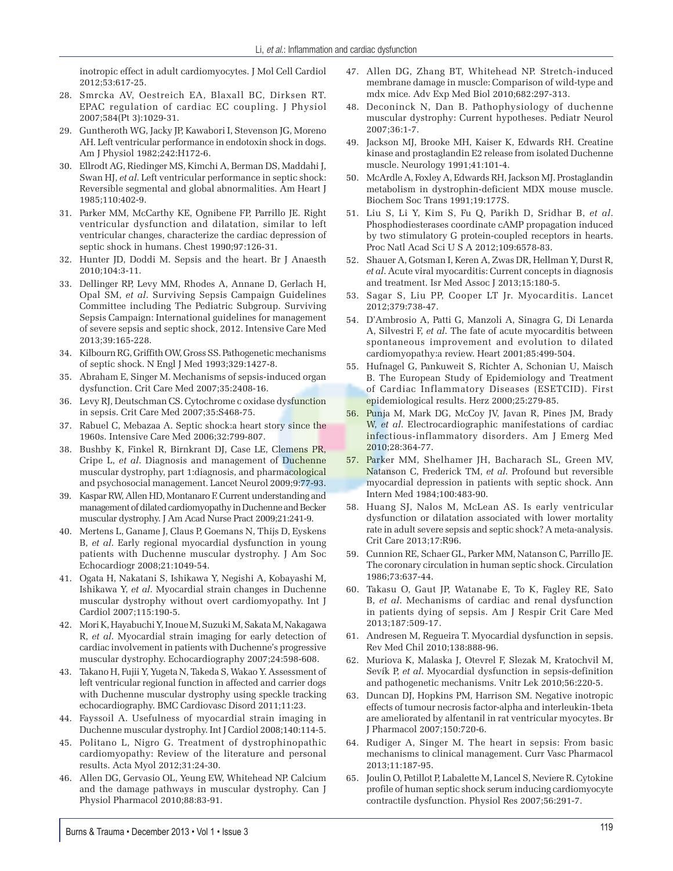inotropic effect in adult cardiomyocytes. J Mol Cell Cardiol 2012;53:617-25.

- 28. Smrcka AV, Oestreich EA, Blaxall BC, Dirksen RT. EPAC regulation of cardiac EC coupling. J Physiol 2007;584(Pt 3):1029-31.
- 29. Guntheroth WG, Jacky JP, Kawabori I, Stevenson JG, Moreno AH. Left ventricular performance in endotoxin shock in dogs. Am J Physiol 1982;242:H172-6.
- 30. Ellrodt AG, Riedinger MS, Kimchi A, Berman DS, Maddahi J, Swan HJ, *et al*. Left ventricular performance in septic shock: Reversible segmental and global abnormalities. Am Heart J 1985;110:402-9.
- 31. Parker MM, McCarthy KE, Ognibene FP, Parrillo JE. Right ventricular dysfunction and dilatation, similar to left ventricular changes, characterize the cardiac depression of septic shock in humans. Chest 1990;97:126-31.
- 32. Hunter JD, Doddi M. Sepsis and the heart. Br J Anaesth 2010;104:3-11.
- 33. Dellinger RP, Levy MM, Rhodes A, Annane D, Gerlach H, Opal SM, *et al*. Surviving Sepsis Campaign Guidelines Committee including The Pediatric Subgroup. Surviving Sepsis Campaign: International guidelines for management of severe sepsis and septic shock, 2012. Intensive Care Med 2013;39:165-228.
- 34. Kilbourn RG, Griffith OW, Gross SS. Pathogenetic mechanisms of septic shock. N Engl J Med 1993;329:1427-8.
- 35. Abraham E, Singer M. Mechanisms of sepsis-induced organ dysfunction. Crit Care Med 2007;35:2408-16.
- 36. Levy RJ, Deutschman CS. Cytochrome c oxidase dysfunction in sepsis. Crit Care Med 2007;35:S468-75.
- 37. Rabuel C, Mebazaa A. Septic shock:a heart story since the 1960s. Intensive Care Med 2006;32:799-807.
- 38. Bushby K, Finkel R, Birnkrant DJ, Case LE, Clemens PR, Cripe L, *et al*. Diagnosis and management of Duchenne muscular dystrophy, part 1:diagnosis, and pharmacological and psychosocial management. Lancet Neurol 2009;9:77-93.
- 39. Kaspar RW, Allen HD, Montanaro F. Current understanding and management of dilated cardiomyopathy in Duchenne and Becker muscular dystrophy. J Am Acad Nurse Pract 2009;21:241-9.
- 40. Mertens L, Ganame J, Claus P, Goemans N, Thijs D, Eyskens B, *et al*. Early regional myocardial dysfunction in young patients with Duchenne muscular dystrophy. J Am Soc Echocardiogr 2008;21:1049-54.
- 41. Ogata H, Nakatani S, Ishikawa Y, Negishi A, Kobayashi M, Ishikawa Y, *et al*. Myocardial strain changes in Duchenne muscular dystrophy without overt cardiomyopathy. Int J Cardiol 2007;115:190-5.
- 42. Mori K, Hayabuchi Y, Inoue M, Suzuki M, Sakata M, Nakagawa R, *et al*. Myocardial strain imaging for early detection of cardiac involvement in patients with Duchenne's progressive muscular dystrophy. Echocardiography 2007;24:598-608.
- 43. Takano H, Fujii Y, Yugeta N, Takeda S, Wakao Y. Assessment of left ventricular regional function in affected and carrier dogs with Duchenne muscular dystrophy using speckle tracking echocardiography. BMC Cardiovasc Disord 2011;11:23.
- 44. Fayssoil A. Usefulness of myocardial strain imaging in Duchenne muscular dystrophy. Int J Cardiol 2008;140:114-5.
- 45. Politano L, Nigro G. Treatment of dystrophinopathic cardiomyopathy: Review of the literature and personal results. Acta Myol 2012;31:24-30.
- 46. Allen DG, Gervasio OL, Yeung EW, Whitehead NP. Calcium and the damage pathways in muscular dystrophy. Can J Physiol Pharmacol 2010;88:83-91.
- 47. Allen DG, Zhang BT, Whitehead NP. Stretch-induced membrane damage in muscle: Comparison of wild-type and mdx mice. Adv Exp Med Biol 2010;682:297-313.
- 48. Deconinck N, Dan B. Pathophysiology of duchenne muscular dystrophy: Current hypotheses. Pediatr Neurol 2007;36:1-7.
- 49. Jackson MJ, Brooke MH, Kaiser K, Edwards RH. Creatine kinase and prostaglandin E2 release from isolated Duchenne muscle. Neurology 1991;41:101-4.
- 50. McArdle A, Foxley A, Edwards RH, Jackson MJ. Prostaglandin metabolism in dystrophin-deficient MDX mouse muscle. Biochem Soc Trans 1991;19:177S.
- 51. Liu S, Li Y, Kim S, Fu Q, Parikh D, Sridhar B, *et al*. Phosphodiesterases coordinate cAMP propagation induced by two stimulatory G protein-coupled receptors in hearts. Proc Natl Acad Sci U S A 2012;109:6578-83.
- 52. Shauer A, Gotsman I, Keren A, Zwas DR, Hellman Y, Durst R, *et al*. Acute viral myocarditis: Current concepts in diagnosis and treatment. Isr Med Assoc J 2013;15:180-5.
- 53. Sagar S, Liu PP, Cooper LT Jr. Myocarditis. Lancet 2012;379:738-47.
- 54. D'Ambrosio A, Patti G, Manzoli A, Sinagra G, Di Lenarda A, Silvestri F, *et al*. The fate of acute myocarditis between spontaneous improvement and evolution to dilated cardiomyopathy:a review. Heart 2001;85:499-504.
- 55. Hufnagel G, Pankuweit S, Richter A, Schonian U, Maisch B. The European Study of Epidemiology and Treatment of Cardiac Inflammatory Diseases (ESETCID). First epidemiological results. Herz 2000;25:279-85.
- 56. Punja M, Mark DG, McCoy JV, Javan R, Pines JM, Brady W, *et al*. Electrocardiographic manifestations of cardiac infectious-inflammatory disorders. Am J Emerg Med 2010;28:364-77.
- 57. Parker MM, Shelhamer JH, Bacharach SL, Green MV, Natanson C, Frederick TM, *et al*. Profound but reversible myocardial depression in patients with septic shock. Ann Intern Med 1984;100:483-90.
- 58. Huang SJ, Nalos M, McLean AS. Is early ventricular dysfunction or dilatation associated with lower mortality rate in adult severe sepsis and septic shock? A meta-analysis. Crit Care 2013;17:R96.
- 59. Cunnion RE, Schaer GL, Parker MM, Natanson C, Parrillo JE. The coronary circulation in human septic shock. Circulation 1986;73:637-44.
- 60. Takasu O, Gaut JP, Watanabe E, To K, Fagley RE, Sato B, *et al*. Mechanisms of cardiac and renal dysfunction in patients dying of sepsis. Am J Respir Crit Care Med 2013;187:509-17.
- 61. Andresen M, Regueira T. Myocardial dysfunction in sepsis. Rev Med Chil 2010;138:888-96.
- 62. Muriova K, Malaska J, Otevrel F, Slezak M, Kratochvil M, Sevík P, *et al*. Myocardial dysfunction in sepsis-definition and pathogenetic mechanisms. Vnitr Lek 2010;56:220-5.
- 63. Duncan DJ, Hopkins PM, Harrison SM. Negative inotropic effects of tumour necrosis factor-alpha and interleukin-1beta are ameliorated by alfentanil in rat ventricular myocytes. Br J Pharmacol 2007;150:720-6.
- 64. Rudiger A, Singer M. The heart in sepsis: From basic mechanisms to clinical management. Curr Vasc Pharmacol 2013;11:187-95.
- 65. Joulin O, Petillot P, Labalette M, Lancel S, Neviere R. Cytokine profile of human septic shock serum inducing cardiomyocyte contractile dysfunction. Physiol Res 2007;56:291-7.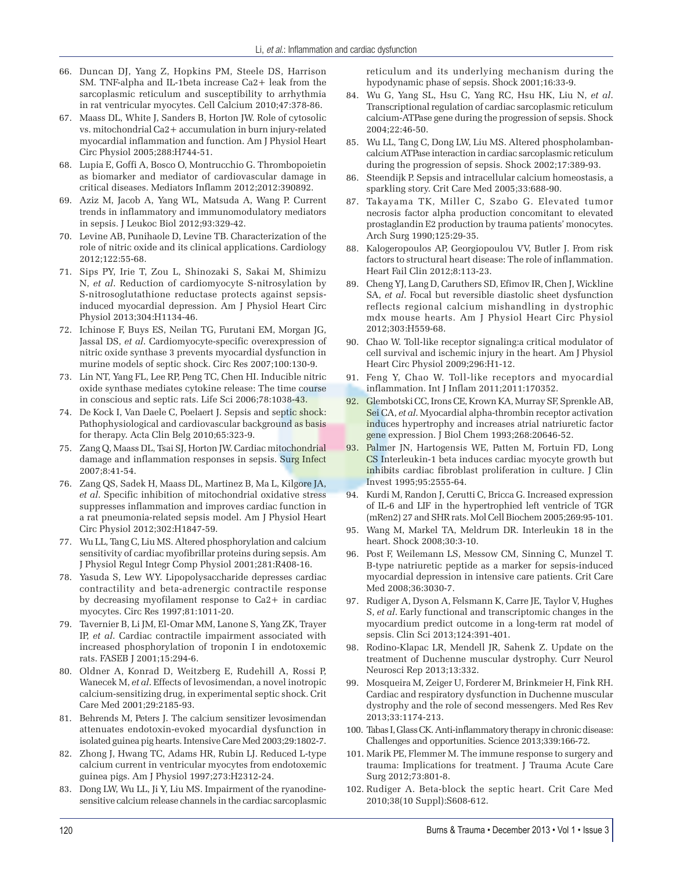- 66. Duncan DJ, Yang Z, Hopkins PM, Steele DS, Harrison SM. TNF-alpha and IL-1beta increase Ca2+ leak from the sarcoplasmic reticulum and susceptibility to arrhythmia in rat ventricular myocytes. Cell Calcium 2010;47:378-86.
- 67. Maass DL, White J, Sanders B, Horton JW. Role of cytosolic vs. mitochondrial Ca2+ accumulation in burn injury-related myocardial inflammation and function. Am J Physiol Heart Circ Physiol 2005;288:H744-51.
- 68. Lupia E, Goffi A, Bosco O, Montrucchio G. Thrombopoietin as biomarker and mediator of cardiovascular damage in critical diseases. Mediators Inflamm 2012;2012:390892.
- 69. Aziz M, Jacob A, Yang WL, Matsuda A, Wang P. Current trends in inflammatory and immunomodulatory mediators in sepsis. J Leukoc Biol 2012;93:329-42.
- 70. Levine AB, Punihaole D, Levine TB. Characterization of the role of nitric oxide and its clinical applications. Cardiology 2012;122:55-68.
- 71. Sips PY, Irie T, Zou L, Shinozaki S, Sakai M, Shimizu N, *et al*. Reduction of cardiomyocyte S-nitrosylation by S-nitrosoglutathione reductase protects against sepsisinduced myocardial depression. Am J Physiol Heart Circ Physiol 2013;304:H1134-46.
- 72. Ichinose F, Buys ES, Neilan TG, Furutani EM, Morgan JG, Jassal DS, *et al*. Cardiomyocyte-specific overexpression of nitric oxide synthase 3 prevents myocardial dysfunction in murine models of septic shock. Circ Res 2007;100:130-9.
- 73. Lin NT, Yang FL, Lee RP, Peng TC, Chen HI. Inducible nitric oxide synthase mediates cytokine release: The time course in conscious and septic rats. Life Sci 2006;78:1038-43.
- 74. De Kock I, Van Daele C, Poelaert J. Sepsis and septic shock: Pathophysiological and cardiovascular background as basis for therapy. Acta Clin Belg 2010;65:323-9.
- 75. Zang Q, Maass DL, Tsai SJ, Horton JW. Cardiac mitochondrial damage and inflammation responses in sepsis. Surg Infect 2007;8:41-54.
- 76. Zang QS, Sadek H, Maass DL, Martinez B, Ma L, Kilgore JA, *et al*. Specific inhibition of mitochondrial oxidative stress suppresses inflammation and improves cardiac function in a rat pneumonia-related sepsis model. Am J Physiol Heart Circ Physiol 2012;302:H1847-59.
- 77. Wu LL, Tang C, Liu MS. Altered phosphorylation and calcium sensitivity of cardiac myofibrillar proteins during sepsis. Am J Physiol Regul Integr Comp Physiol 2001;281:R408-16.
- 78. Yasuda S, Lew WY. Lipopolysaccharide depresses cardiac contractility and beta-adrenergic contractile response by decreasing myofilament response to Ca2+ in cardiac myocytes. Circ Res 1997;81:1011-20.
- 79. Tavernier B, Li JM, El-Omar MM, Lanone S, Yang ZK, Trayer IP, *et al*. Cardiac contractile impairment associated with increased phosphorylation of troponin I in endotoxemic rats. FASEB J 2001;15:294-6.
- 80. Oldner A, Konrad D, Weitzberg E, Rudehill A, Rossi P, Wanecek M, *et al*. Effects of levosimendan, a novel inotropic calcium-sensitizing drug, in experimental septic shock. Crit Care Med 2001;29:2185-93.
- 81. Behrends M, Peters J. The calcium sensitizer levosimendan attenuates endotoxin-evoked myocardial dysfunction in isolated guinea pig hearts. Intensive Care Med 2003;29:1802-7.
- 82. Zhong J, Hwang TC, Adams HR, Rubin LJ. Reduced L-type calcium current in ventricular myocytes from endotoxemic guinea pigs. Am J Physiol 1997;273:H2312-24.
- 83. Dong LW, Wu LL, Ji Y, Liu MS. Impairment of the ryanodinesensitive calcium release channels in the cardiac sarcoplasmic

reticulum and its underlying mechanism during the hypodynamic phase of sepsis. Shock 2001;16:33-9.

- 84. Wu G, Yang SL, Hsu C, Yang RC, Hsu HK, Liu N, *et al*. Transcriptional regulation of cardiac sarcoplasmic reticulum calcium-ATPase gene during the progression of sepsis. Shock 2004;22:46-50.
- 85. Wu LL, Tang C, Dong LW, Liu MS. Altered phospholambancalcium ATPase interaction in cardiac sarcoplasmic reticulum during the progression of sepsis. Shock 2002;17:389-93.
- 86. Steendijk P. Sepsis and intracellular calcium homeostasis, a sparkling story. Crit Care Med 2005;33:688-90.
- 87. Takayama TK, Miller C, Szabo G. Elevated tumor necrosis factor alpha production concomitant to elevated prostaglandin E2 production by trauma patients' monocytes. Arch Surg 1990;125:29-35.
- 88. Kalogeropoulos AP, Georgiopoulou VV, Butler J. From risk factors to structural heart disease: The role of inflammation. Heart Fail Clin 2012;8:113-23.
- 89. Cheng YJ, Lang D, Caruthers SD, Efimov IR, Chen J, Wickline SA, *et al*. Focal but reversible diastolic sheet dysfunction reflects regional calcium mishandling in dystrophic mdx mouse hearts. Am J Physiol Heart Circ Physiol 2012;303:H559-68.
- 90. Chao W. Toll-like receptor signaling:a critical modulator of cell survival and ischemic injury in the heart. Am J Physiol Heart Circ Physiol 2009;296:H1-12.
- 91. Feng Y, Chao W. Toll-like receptors and myocardial inflammation. Int J Inflam 2011;2011:170352.
- 92. Glembotski CC, Irons CE, Krown KA, Murray SF, Sprenkle AB, Sei CA, *et al*. Myocardial alpha-thrombin receptor activation induces hypertrophy and increases atrial natriuretic factor gene expression. J Biol Chem 1993;268:20646-52.
- 93. Palmer JN, Hartogensis WE, Patten M, Fortuin FD, Long CS Interleukin-1 beta induces cardiac myocyte growth but inhibits cardiac fibroblast proliferation in culture. J Clin Invest 1995;95:2555-64.
- 94. Kurdi M, Randon J, Cerutti C, Bricca G. Increased expression of IL-6 and LIF in the hypertrophied left ventricle of TGR (mRen2) 27 and SHR rats. Mol Cell Biochem 2005;269:95-101.
- 95. Wang M, Markel TA, Meldrum DR. Interleukin 18 in the heart. Shock 2008;30:3-10.
- 96. Post F, Weilemann LS, Messow CM, Sinning C, Munzel T. B-type natriuretic peptide as a marker for sepsis-induced myocardial depression in intensive care patients. Crit Care Med 2008;36:3030-7.
- 97. Rudiger A, Dyson A, Felsmann K, Carre JE, Taylor V, Hughes S, *et al*. Early functional and transcriptomic changes in the myocardium predict outcome in a long-term rat model of sepsis. Clin Sci 2013;124:391-401.
- 98. Rodino-Klapac LR, Mendell JR, Sahenk Z. Update on the treatment of Duchenne muscular dystrophy. Curr Neurol Neurosci Rep 2013;13:332.
- 99. Mosqueira M, Zeiger U, Forderer M, Brinkmeier H, Fink RH. Cardiac and respiratory dysfunction in Duchenne muscular dystrophy and the role of second messengers. Med Res Rev 2013;33:1174-213.
- 100. Tabas I, Glass CK. Anti-inflammatory therapy in chronic disease: Challenges and opportunities. Science 2013;339:166-72.
- 101. Marik PE, Flemmer M. The immune response to surgery and trauma: Implications for treatment. J Trauma Acute Care Surg 2012;73:801-8.
- 102. Rudiger A. Beta-block the septic heart. Crit Care Med 2010;38(10 Suppl):S608-612.